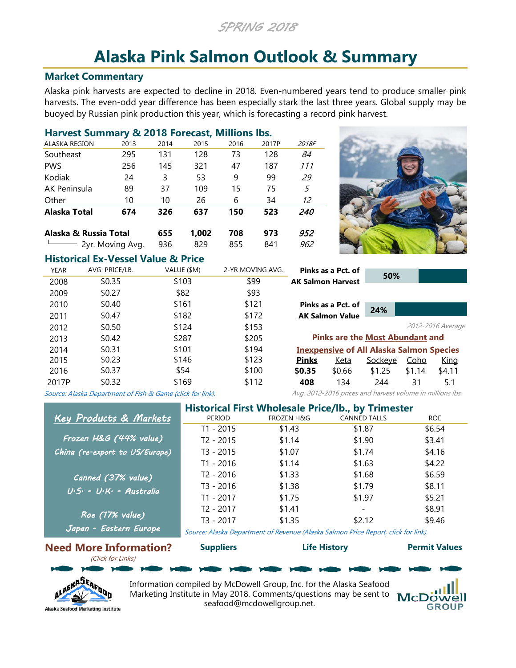*SPRING 2018*

# **Alaska Pink Salmon Outlook & Summary**

# **Market Commentary**

Alaska pink harvests are expected to decline in 2018. Even-numbered years tend to produce smaller pink harvests. The even-odd year difference has been especially stark the last three years. Global supply may be buoyed by Russian pink production this year, which is forecasting a record pink harvest.

| Harvest Summary & 2018 Forecast, Millions Ibs. |                      |      |       |      |       |            |
|------------------------------------------------|----------------------|------|-------|------|-------|------------|
| <b>ALASKA REGION</b>                           | 2013                 | 2014 | 2015  | 2016 | 2017P | 2018F      |
| Southeast                                      | 295                  | 131  | 128   | 73   | 128   | 84         |
| <b>PWS</b>                                     | 256                  | 145  | 321   | 47   | 187   | 111        |
| Kodiak                                         | 24                   | 3    | 53    | 9    | 99    | 29         |
| AK Peninsula                                   | 89                   | 37   | 109   | 15   | 75    | 5          |
| Other                                          | 10                   | 10   | 26    | 6    | 34    | 12         |
| Alaska Total                                   | 674                  | 326  | 637   | 150  | 523   | <i>240</i> |
| Alaska & Russia Total                          |                      | 655  | 1.002 | 708  | 973   | 952        |
|                                                | $-$ 2yr. Moving Avg. | 936  | 829   | 855  | 841   | 962        |



# **Historical Ex-Vessel Value & Price**

| <b>YEAR</b> | AVG. PRICE/LB.                                             | VALUE (\$M) | 2-YR MOVING AVG. |              | Pinks as a Pct. of                                        |         |             |                   |
|-------------|------------------------------------------------------------|-------------|------------------|--------------|-----------------------------------------------------------|---------|-------------|-------------------|
| 2008        | \$0.35                                                     | \$103       | \$99             |              | <b>AK Salmon Harvest</b>                                  | 50%     |             |                   |
| 2009        | \$0.27                                                     | \$82        | \$93             |              |                                                           |         |             |                   |
| 2010        | \$0.40                                                     | \$161       | \$121            |              | Pinks as a Pct. of                                        |         |             |                   |
| 2011        | \$0.47                                                     | \$182       | \$172            |              | <b>AK Salmon Value</b>                                    | 24%     |             |                   |
| 2012        | \$0.50                                                     | \$124       | \$153            |              |                                                           |         |             | 2012-2016 Average |
| 2013        | \$0.42                                                     | \$287       | \$205            |              | <b>Pinks are the Most Abundant and</b>                    |         |             |                   |
| 2014        | \$0.31                                                     | \$101       | \$194            |              | <b>Inexpensive of All Alaska Salmon Species</b>           |         |             |                   |
| 2015        | \$0.23                                                     | \$146       | \$123            | <b>Pinks</b> | Keta                                                      | Sockeye | <u>Coho</u> | <u>King</u>       |
| 2016        | \$0.37                                                     | \$54        | \$100            | \$0.35       | \$0.66                                                    | \$1.25  | \$1.14      | \$4.11            |
| 2017P       | \$0.32                                                     | \$169       | \$112            | 408          | 134                                                       | 244     | 31          | 5.1               |
|             | Source: Alaska Department of Fish & Game (click for link). |             |                  |              | Avg. 2012-2016 prices and harvest volume in millions lbs. |         |             |                   |

[Source: Alaska Department of Fish & Game \(click for link\).](http://www.adfg.alaska.gov/index.cfm?adfg=commercialbyfisherysalmon.salmon_grossearnings_byspecies)

|                                                 | <b>Historical First Wholesale Price/lb., by Trimester</b> |                       |                                                                                   |            |  |  |  |  |
|-------------------------------------------------|-----------------------------------------------------------|-----------------------|-----------------------------------------------------------------------------------|------------|--|--|--|--|
| Key Products & Markets                          | <b>PERIOD</b>                                             | <b>FROZEN H&amp;G</b> | <b>CANNED TALLS</b>                                                               | <b>ROE</b> |  |  |  |  |
|                                                 | $T1 - 2015$                                               | \$1.43                | \$1.87                                                                            | \$6.54     |  |  |  |  |
| Frozen H&G (44% value)                          | $T2 - 2015$                                               | \$1.14                | \$1.90                                                                            | \$3.41     |  |  |  |  |
| China (re-export to US/Europe)                  | $T3 - 2015$                                               | \$1.07                | \$1.74                                                                            | \$4.16     |  |  |  |  |
|                                                 | $T1 - 2016$                                               | \$1.14                | \$1.63                                                                            | \$4.22     |  |  |  |  |
| Canned (37% value)                              | T <sub>2</sub> - 2016                                     | \$1.33                | \$1.68                                                                            | \$6.59     |  |  |  |  |
| $U \cdot S \cdot - U \cdot K \cdot -$ Australia | $T3 - 2016$                                               | \$1.38                | \$1.79                                                                            | \$8.11     |  |  |  |  |
|                                                 | T1 - 2017                                                 | \$1.75                | \$1.97                                                                            | \$5.21     |  |  |  |  |
| Roe (17% value)                                 | T <sub>2</sub> - 2017                                     | \$1.41                | $\overline{\phantom{a}}$                                                          | \$8.91     |  |  |  |  |
|                                                 | $T3 - 2017$                                               | \$1.35                | \$2.12                                                                            | \$9.46     |  |  |  |  |
| Japan - Eastern Europe                          |                                                           |                       | Course: Alaska Department of Povenue (Alaska Salmon Prise Penert, sligk for link) |            |  |  |  |  |

[Source: Alaska Department of Revenue \(Alaska Salmon Price Report, click for link\).](http://www.tax.alaska.gov/programs/programs/reports/index.aspx?60624)

**[Supp](http://suppliers.alaskaseafood.org/)liers [Life H](http://www.adfg.alaska.gov/static/education/wns/pink_salmon.pdf)istory [Permi](https://www.cfec.state.ak.us/pmtvalue/mnusalm.htm)t Values**

#### **Need More Information?** (Click for Links)



Information compiled by McDowell Group, Inc. for the Alaska Seafood Marketing Institute in May 2018. Comments/questions may be sent to **McDowell** seafood@mcdowellgroup.net.

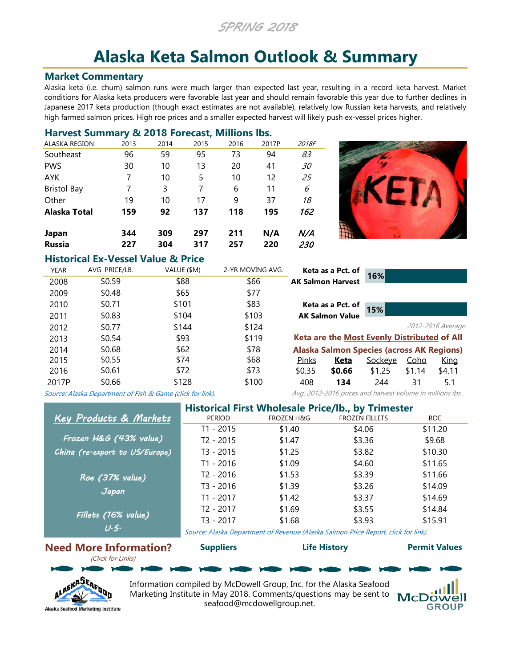*SPRING 2018*

# **Alaska Keta Salmon Outlook & Summary**

### **Market Commentary**

Alaska keta (i.e. chum) salmon runs were much larger than expected last year, resulting in a record keta harvest. Market conditions for Alaska keta producers were favorable last year and should remain favorable this year due to further declines in Japanese 2017 keta production (though exact estimates are not available), relatively low Russian keta harvests, and relatively high farmed salmon prices. High roe prices and a smaller expected harvest will likely push ex-vessel prices higher.

### **Harvest Summary & 2018 Forecast, Millions lbs.**

| <b>Russia</b>       | 227  | 304  | 317  | 257  | 220   | 230       |
|---------------------|------|------|------|------|-------|-----------|
| Japan               | 344  | 309  | 297  | 211  | N/A   | N/A       |
| <b>Alaska Total</b> | 159  | 92   | 137  | 118  | 195   | 162       |
| Other               | 19   | 10   | 17   | 9    | 37    | 18        |
| <b>Bristol Bay</b>  | 7    | 3    | 7    | 6    | 11    | 6         |
| <b>AYK</b>          | 7    | 10   | 5    | 10   | 12    | 25        |
| <b>PWS</b>          | 30   | 10   | 13   | 20   | 41    | <i>30</i> |
| Southeast           | 96   | 59   | 95   | 73   | 94    | 83        |
| ALASKA REGION       | 2013 | 2014 | 2015 | 2016 | 2017P | 2018F     |



# **Historical Ex-Vessel Value & Price**

| <b>YEAR</b> | AVG. PRICE/LB.                                             | VALUE (\$M) | 2-YR MOVING AVG. |              | Keta as a Pct. of        |                                                           |             |                   |
|-------------|------------------------------------------------------------|-------------|------------------|--------------|--------------------------|-----------------------------------------------------------|-------------|-------------------|
| 2008        | \$0.59                                                     | \$88        | \$66             |              | <b>AK Salmon Harvest</b> | 16%                                                       |             |                   |
| 2009        | \$0.48                                                     | \$65        | \$77             |              |                          |                                                           |             |                   |
| 2010        | \$0.71                                                     | \$101       | \$83             |              | Keta as a Pct. of        |                                                           |             |                   |
| 2011        | \$0.83                                                     | \$104       | \$103            |              | <b>AK Salmon Value</b>   | 15%                                                       |             |                   |
| 2012        | \$0.77                                                     | \$144       | \$124            |              |                          |                                                           |             | 2012-2016 Average |
| 2013        | \$0.54                                                     | \$93        | \$119            |              |                          | Keta are the Most Evenly Distributed of All               |             |                   |
| 2014        | \$0.68                                                     | \$62        | \$78             |              |                          | <b>Alaska Salmon Species (across AK Regions)</b>          |             |                   |
| 2015        | \$0.55                                                     | \$74        | \$68             | <u>Pinks</u> | <u>Keta</u>              | Sockeye                                                   | <u>Coho</u> | King              |
| 2016        | \$0.61                                                     | \$72        | \$73             | \$0.35       | \$0.66                   | \$1.25                                                    | \$1.14      | \$4.11            |
| 2017P       | \$0.66                                                     | \$128       | \$100            | 408          | 134                      | 244                                                       | 31          | 5.1               |
|             | Source: Alaska Department of Fish & Game (click for link). |             |                  |              |                          | Avg. 2012-2016 prices and harvest volume in millions lbs. |             |                   |

[Source: Alaska Department of Fish & Game \(click for link\).](http://www.adfg.alaska.gov/index.cfm?adfg=commercialbyfisherysalmon.salmon_grossearnings_byspecies)

|                                | <b>Historical First Wholesale Price/lb., by Trimester</b> |                       |                                                                                   |            |  |  |  |  |
|--------------------------------|-----------------------------------------------------------|-----------------------|-----------------------------------------------------------------------------------|------------|--|--|--|--|
| Key Products & Markets         | PERIOD                                                    | <b>FROZEN H&amp;G</b> | <b>FROZEN FILLETS</b>                                                             | <b>ROE</b> |  |  |  |  |
|                                | T1 - 2015                                                 | \$1.40                | \$4.06                                                                            | \$11.20    |  |  |  |  |
| Frozen H&G (43% value)         | $T2 - 2015$                                               | \$1.47                | \$3.36                                                                            | \$9.68     |  |  |  |  |
| China (re-export to US/Europe) | T3 - 2015                                                 | \$1.25                | \$3.82                                                                            | \$10.30    |  |  |  |  |
|                                | $T1 - 2016$                                               | \$1.09                | \$4.60                                                                            | \$11.65    |  |  |  |  |
| $Roe$ (37% value)              | T <sub>2</sub> - 2016                                     | \$1.53                | \$3.39                                                                            | \$11.66    |  |  |  |  |
| Japan                          | $T3 - 2016$                                               | \$1.39                | \$3.26                                                                            | \$14.09    |  |  |  |  |
|                                | T1 - 2017                                                 | \$1.42                | \$3.37                                                                            | \$14.69    |  |  |  |  |
|                                | $T2 - 2017$                                               | \$1.69                | \$3.55                                                                            | \$14.84    |  |  |  |  |
| Fillets (16% value)            | $T3 - 2017$                                               | \$1.68                | \$3.93                                                                            | \$15.91    |  |  |  |  |
| U·S·                           |                                                           |                       | Course: Alaska Department of Povenue (Alaska Salmon Prise Pepert, sligk for link) |            |  |  |  |  |

[Source: Alaska Department of Revenue \(Alaska Salmon Price Report, click for link\).](http://www.tax.alaska.gov/programs/programs/reports/index.aspx?60624)

**[Supp](http://suppliers.alaskaseafood.org/)liers [Life H](http://www.adfg.alaska.gov/index.cfm?adfg=chumsalmon.main)istory [Permi](https://www.cfec.state.ak.us/pmtvalue/mnusalm.htm)t Values**

#### **Need More Information?** (Click for Links)



Information compiled by McDowell Group, Inc. for the Alaska Seafood Marketing Institute in May 2018. Comments/questions may be sent to McDowell seafood@mcdowellgroup.net.

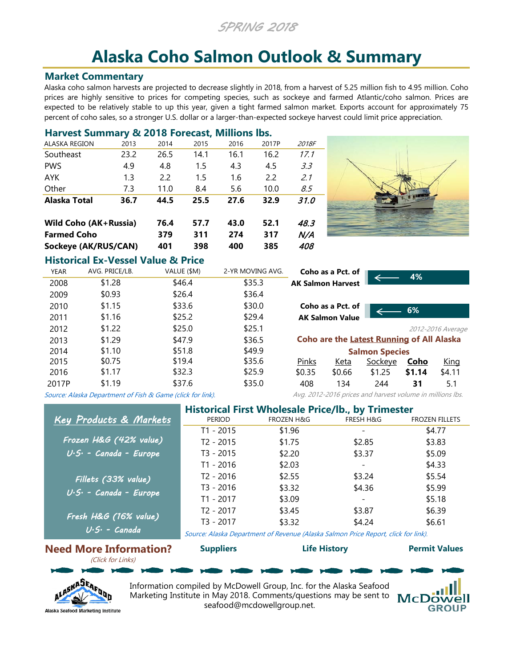*SPRING 2018*

# **Alaska Coho Salmon Outlook & Summary**

#### **Market Commentary**

Alaska coho salmon harvests are projected to decrease slightly in 2018, from a harvest of 5.25 million fish to 4.95 million. Coho prices are highly sensitive to prices for competing species, such as sockeye and farmed Atlantic/coho salmon. Prices are expected to be relatively stable to up this year, given a tight farmed salmon market. Exports account for approximately 75 percent of coho sales, so a stronger U.S. dollar or a larger-than-expected sockeye harvest could limit price appreciation.

# **Harvest Summary & 2018 Forecast, Millions lbs.**

| Sockeye (AK/RUS/CAN)         |      | 401  | 398  | 400  | 385   | 408   |
|------------------------------|------|------|------|------|-------|-------|
| <b>Farmed Coho</b>           |      | 379  | 311  | 274  | 317   | N/A   |
| <b>Wild Coho (AK+Russia)</b> |      | 76.4 | 57.7 | 43.0 | 52.1  | 48.3  |
| Alaska Total                 | 36.7 | 44.5 | 25.5 | 27.6 | 32.9  | 31.0  |
| Other                        | 7.3  | 11.0 | 8.4  | 5.6  | 10.0  | 8.5   |
| AYK                          | 1.3  | 2.2  | 1.5  | 1.6  | 2.2   | 2.1   |
| <b>PWS</b>                   | 4.9  | 4.8  | 1.5  | 4.3  | 4.5   | 3.3   |
| Southeast                    | 23.2 | 26.5 | 14.1 | 16.1 | 16.2  | 17.1  |
| ALASKA REGION                | 2013 | 2014 | 2015 | 2016 | 2017P | 2018F |



### **Historical Ex-Vessel Value & Price**

| <b>YEAR</b> | AVG. PRICE/LB.                                             | VALUE (\$M) | 2-YR MOVING AVG. |                          | Coho as a Pct. of      |                                                           |             |                   |
|-------------|------------------------------------------------------------|-------------|------------------|--------------------------|------------------------|-----------------------------------------------------------|-------------|-------------------|
| 2008        | \$1.28                                                     | \$46.4      | \$35.3           | <b>AK Salmon Harvest</b> |                        |                                                           | 4%          |                   |
| 2009        | \$0.93                                                     | \$26.4      | \$36.4           |                          |                        |                                                           |             |                   |
| 2010        | \$1.15                                                     | \$33.6      | \$30.0           |                          | Coho as a Pct. of      |                                                           | 6%          |                   |
| 2011        | \$1.16                                                     | \$25.2      | \$29.4           |                          | <b>AK Salmon Value</b> |                                                           |             |                   |
| 2012        | \$1.22                                                     | \$25.0      | \$25.1           |                          |                        |                                                           |             | 2012-2016 Average |
| 2013        | \$1.29                                                     | \$47.9      | \$36.5           |                          |                        | <b>Coho are the Latest Running of All Alaska</b>          |             |                   |
| 2014        | \$1.10                                                     | \$51.8      | \$49.9           |                          |                        | <b>Salmon Species</b>                                     |             |                   |
| 2015        | \$0.75                                                     | \$19.4      | \$35.6           | <b>Pinks</b>             | Keta                   | Sockeye                                                   | <u>Coho</u> | King              |
| 2016        | \$1.17                                                     | \$32.3      | \$25.9           | \$0.35                   | \$0.66                 | \$1.25                                                    | \$1.14      | \$4.11            |
| 2017P       | \$1.19                                                     | \$37.6      | \$35.0           | 408                      | 134                    | 244                                                       | 31          | 5.1               |
|             | Source: Alaska Department of Fish & Game (click for link). |             |                  |                          |                        | Avg. 2012-2016 prices and harvest volume in millions lbs. |             |                   |

[Source:](http://www.adfg.alaska.gov/index.cfm?adfg=commercialbyfisherysalmon.salmon_grossearnings_byspecies) [Alaska](http://www.adfg.alaska.gov/index.cfm?adfg=commercialbyfisherysalmon.salmon_grossearnings_byspecies) [Department](http://www.adfg.alaska.gov/index.cfm?adfg=commercialbyfisherysalmon.salmon_grossearnings_byspecies) [of](http://www.adfg.alaska.gov/index.cfm?adfg=commercialbyfisherysalmon.salmon_grossearnings_byspecies) [Fish](http://www.adfg.alaska.gov/index.cfm?adfg=commercialbyfisherysalmon.salmon_grossearnings_byspecies) [&](http://www.adfg.alaska.gov/index.cfm?adfg=commercialbyfisherysalmon.salmon_grossearnings_byspecies) [Game](http://www.adfg.alaska.gov/index.cfm?adfg=commercialbyfisherysalmon.salmon_grossearnings_byspecies) [\(click](http://www.adfg.alaska.gov/index.cfm?adfg=commercialbyfisherysalmon.salmon_grossearnings_byspecies) [for](http://www.adfg.alaska.gov/index.cfm?adfg=commercialbyfisherysalmon.salmon_grossearnings_byspecies) [link\).](http://www.adfg.alaska.gov/index.cfm?adfg=commercialbyfisherysalmon.salmon_grossearnings_byspecies)

|                                     | <b>Historical First Wholesale Price/lb., by Trimester</b> |                                                                                   |                          |                       |  |  |  |  |
|-------------------------------------|-----------------------------------------------------------|-----------------------------------------------------------------------------------|--------------------------|-----------------------|--|--|--|--|
| <b>Key Products &amp; Markets</b>   | <b>PERIOD</b>                                             | <b>FROZEN H&amp;G</b>                                                             | <b>FRESH H&amp;G</b>     | <b>FROZEN FILLETS</b> |  |  |  |  |
|                                     | T1 - 2015                                                 | \$1.96                                                                            |                          | \$4.77                |  |  |  |  |
| Frozen H&G (42% value)              | $T2 - 2015$                                               | \$1.75                                                                            | \$2.85                   | \$3.83                |  |  |  |  |
| $U \cdot S \cdot$ - Canada - Europe | $T3 - 2015$                                               | \$2.20                                                                            | \$3.37                   | \$5.09                |  |  |  |  |
|                                     | $T1 - 2016$                                               | \$2.03                                                                            | $\overline{\phantom{a}}$ | \$4.33                |  |  |  |  |
| Fillets (33% value)                 | $T2 - 2016$                                               | \$2.55                                                                            | \$3.24                   | \$5.54                |  |  |  |  |
| $U \cdot S \cdot$ - Canada - Europe | $T3 - 2016$                                               | \$3.32                                                                            | \$4.36                   | \$5.99                |  |  |  |  |
|                                     | $T1 - 2017$                                               | \$3.09                                                                            | $\overline{\phantom{a}}$ | \$5.18                |  |  |  |  |
| Fresh H&G (16% value)               | $T2 - 2017$                                               | \$3.45                                                                            | \$3.87                   | \$6.39                |  |  |  |  |
|                                     | $T3 - 2017$                                               | \$3.32                                                                            | \$4.24                   | \$6.61                |  |  |  |  |
| $U \cdot S \cdot -$ Canada          |                                                           | Source: Alacka Department of Peyenue (Alacka Salmon Price Pepert, click for link) |                          |                       |  |  |  |  |

[Source: Alaska Department of Revenue \(Alaska Salmon Price Report, click for link\).](http://www.tax.alaska.gov/programs/programs/reports/index.aspx?60624)

**[Supp](http://suppliers.alaskaseafood.org/)liers [Life H](http://www.adfg.alaska.gov/index.cfm?adfg=cohosalmon.main)istory [Permit](https://www.cfec.state.ak.us/pmtvalue/mnusalm.htm) Values**

# **Need More Information?**

(Click for Links)



Information compiled by McDowell Group, Inc. for the Alaska Seafood Marketing Institute in May 2018. Comments/questions may be sent to **McDowell** seafood@mcdowellgroup.net.

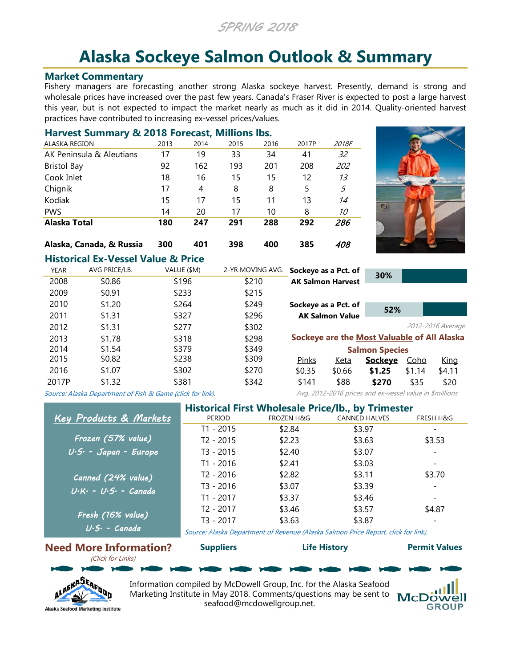*SPRING 2018*

# **Alaska Sockeye Salmon Outlook & Summary**

#### **Market Commentary**

Fishery managers are forecasting another strong Alaska sockeye harvest. Presently, demand is strong and wholesale prices have increased over the past few years. Canada's Fraser River is expected to post a large harvest this year, but is not expected to impact the market nearly as much as it did in 2014. Quality-oriented harvest practices have contributed to increasing ex-vessel prices/values.

| Harvest Summary & 2018 Forecast, Millions Ibs. |      |      |      |      |       |                |  |  |  |
|------------------------------------------------|------|------|------|------|-------|----------------|--|--|--|
| <b>ALASKA REGION</b>                           | 2013 | 2014 | 2015 | 2016 | 2017P | 2018F          |  |  |  |
| AK Peninsula & Aleutians                       | 17   | 19   | 33   | 34   | 41    | 32             |  |  |  |
| <b>Bristol Bay</b>                             | 92   | 162  | 193  | 201  | 208   | 202            |  |  |  |
| Cook Inlet                                     | 18   | 16   | 15   | 15   | 12    | 1 <sub>3</sub> |  |  |  |
| Chignik                                        | 17   | 4    | 8    | 8    | 5     | 5              |  |  |  |
| Kodiak                                         | 15   | 17   | 15   | 11   | 13    | 14             |  |  |  |
| <b>PWS</b>                                     | 14   | 20   | 17   | 10   | 8     | 10             |  |  |  |
| Alaska Total                                   | 180  | 247  | 291  | 288  | 292   | 286            |  |  |  |
| Alaska, Canada, & Russia                       | 300  | 401  | 398  | 400  | 385   | 408            |  |  |  |



# **Historical Ex-Vessel Value & Price**

| <b>YEAR</b> | AVG PRICE/LB. | VALUE (\$M)                                                | 2-YR MOVING AVG. | Sockeye as a Pct. of |                          | 30%                                                     |             |                   |
|-------------|---------------|------------------------------------------------------------|------------------|----------------------|--------------------------|---------------------------------------------------------|-------------|-------------------|
| 2008        | \$0.86        | \$196                                                      | \$210            |                      | <b>AK Salmon Harvest</b> |                                                         |             |                   |
| 2009        | \$0.91        | \$233                                                      | \$215            |                      |                          |                                                         |             |                   |
| 2010        | \$1.20        | \$264                                                      | \$249            | Sockeye as a Pct. of |                          | 52%                                                     |             |                   |
| 2011        | \$1.31        | \$327                                                      | \$296            |                      | <b>AK Salmon Value</b>   |                                                         |             |                   |
| 2012        | \$1.31        | \$277                                                      | \$302            |                      |                          |                                                         |             | 2012-2016 Average |
| 2013        | \$1.78        | \$318                                                      | \$298            |                      |                          | Sockeye are the Most Valuable of All Alaska             |             |                   |
| 2014        | \$1.54        | \$379                                                      | \$349            |                      |                          | <b>Salmon Species</b>                                   |             |                   |
| 2015        | \$0.82        | \$238                                                      | \$309            | <u>Pinks</u>         | Keta                     | <b>Sockeve</b>                                          | <u>Coho</u> | King              |
| 2016        | \$1.07        | \$302                                                      | \$270            | \$0.35               | \$0.66                   | \$1.25                                                  | \$1.14      | \$4.11            |
| 2017P       | \$1.32        | \$381                                                      | \$342            | \$141                | \$88                     | \$270                                                   | \$35        | \$20              |
|             |               | Source: Alaska Department of Fish & Game (click for link). |                  |                      |                          | Avg. 2012-2016 prices and ex-vessel value in \$millions |             |                   |

[Source: Alaska Department of Fish & Game \(click for link\).](http://www.adfg.alaska.gov/index.cfm?adfg=commercialbyfisherysalmon.salmon_grossearnings_byspecies)

|                                    | <b>Historical First Wholesale Price/lb., by Trimester</b> |                       |                                                                                   |                          |  |  |  |  |
|------------------------------------|-----------------------------------------------------------|-----------------------|-----------------------------------------------------------------------------------|--------------------------|--|--|--|--|
| Key Products & Markets             | PERIOD                                                    | <b>FROZEN H&amp;G</b> | <b>CANNED HALVES</b>                                                              | <b>FRESH H&amp;G</b>     |  |  |  |  |
|                                    | $T1 - 2015$                                               | \$2.84                | \$3.97                                                                            |                          |  |  |  |  |
| Frozen (57% value)                 | $T2 - 2015$                                               | \$2.23                | \$3.63                                                                            | \$3.53                   |  |  |  |  |
| $U \cdot S \cdot$ - Japan - Europe | $T3 - 2015$                                               | \$2.40                | \$3.07                                                                            | $\overline{\phantom{a}}$ |  |  |  |  |
|                                    | $T1 - 2016$                                               | \$2.41                | \$3.03                                                                            | $\overline{\phantom{0}}$ |  |  |  |  |
| Canned (24% value)                 | T <sub>2</sub> - 2016                                     | \$2.82                | \$3.11                                                                            | \$3.70                   |  |  |  |  |
| $U \cdot K = U \cdot S =$ Canada   | $T3 - 2016$                                               | \$3.07                | \$3.39                                                                            | $\overline{\phantom{0}}$ |  |  |  |  |
|                                    | T1 - 2017                                                 | \$3.37                | \$3.46                                                                            |                          |  |  |  |  |
|                                    | T2 - 2017                                                 | \$3.46                | \$3.57                                                                            | \$4.87                   |  |  |  |  |
| Fresh (16% value)                  | T3 - 2017                                                 | \$3.63                | \$3.87                                                                            |                          |  |  |  |  |
| $U \cdot S \cdot -$ Canada         |                                                           |                       | Course: Alaska Department of Povenue (Alaska Salmon Prise Penert, sligk for link) |                          |  |  |  |  |

[Source: Alaska Department of Revenue \(Alaska Salmon Price Report, click for link\).](http://www.tax.alaska.gov/programs/programs/reports/index.aspx?60624)

**[Supp](http://suppliers.alaskaseafood.org/)liers [Life H](http://www.adfg.alaska.gov/index.cfm?adfg=sockeyesalmon.main)istory [Permi](https://www.cfec.state.ak.us/pmtvalue/mnusalm.htm)t Values**

#### **Need More Information?** (Click for Links)



Information compiled by McDowell Group, Inc. for the Alaska Seafood Marketing Institute in May 2018. Comments/questions may be sent to **McDowell** seafood@mcdowellgroup.net.